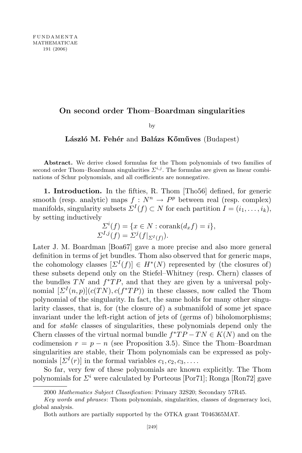## On second order Thom–Boardman singularities

by

## László M. Fehér and Balázs Kőműves (Budapest)

Abstract. We derive closed formulas for the Thom polynomials of two families of second order Thom–Boardman singularities  $\mathcal{L}^{i,j}$ . The formulas are given as linear combinations of Schur polynomials, and all coefficients are nonnegative.

1. Introduction. In the fifties, R. Thom [Tho56] defined, for generic smooth (resp. analytic) maps  $f : N^n \to P^p$  between real (resp. complex) manifolds, singularity subsets  $\Sigma^{I}(f) \subset N$  for each partition  $I = (i_1, \ldots, i_k)$ , by setting inductively

$$
\Sigma^{i}(f) = \{x \in N : \text{corank}(d_x f) = i\},
$$
  

$$
\Sigma^{I,j}(f) = \Sigma^{j}(f|_{\Sigma^{I}(f)}).
$$

Later J. M. Boardman [Boa67] gave a more precise and also more general definition in terms of jet bundles. Thom also observed that for generic maps, the cohomology classes  $[\Sigma^{I}(f)] \in H^{*}(N)$  represented by (the closures of) these subsets depend only on the Stiefel–Whitney (resp. Chern) classes of the bundles  $TN$  and  $f^*TP$ , and that they are given by a universal polynomial  $[\Sigma^{I}(n,p)](c(TN),c(f^*TP))$  in these classes, now called the Thom polynomial of the singularity. In fact, the same holds for many other singularity classes, that is, for (the closure of) a submanifold of some jet space invariant under the left-right action of jets of (germs of) biholomorphisms; and for stable classes of singularities, these polynomials depend only the Chern classes of the virtual normal bundle  $f^*TP - TN \in K(N)$  and on the codimension  $r = p - n$  (see Proposition 3.5). Since the Thom–Boardman singularities are stable, their Thom polynomials can be expressed as polynomials  $[\Sigma^{I}(r)]$  in the formal variables  $c_1, c_2, c_3, \ldots$ .

So far, very few of these polynomials are known explicitly. The Thom polynomials for  $\Sigma^i$  were calculated by Porteous [Por71]; Ronga [Ron72] gave

<sup>2000</sup> Mathematics Subject Classification: Primary 32S20; Secondary 57R45.

Key words and phrases: Thom polynomials, singularities, classes of degeneracy loci, global analysis.

Both authors are partially supported by the OTKA grant T046365MAT.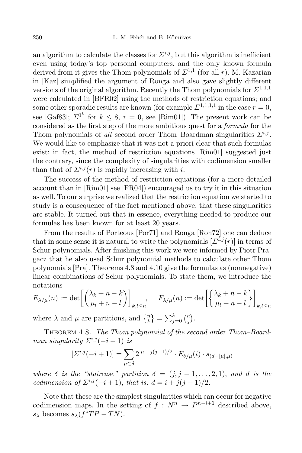an algorithm to calculate the classes for  $\mathcal{L}^{i,j}$ , but this algorithm is inefficient even using today's top personal computers, and the only known formula derived from it gives the Thom polynomials of  $\Sigma^{1,1}$  (for all r). M. Kazarian in [Kaz] simplified the argument of Ronga and also gave slightly different versions of the original algorithm. Recently the Thom polynomials for  $\Sigma^{1,1,1}$ were calculated in [BFR02] using the methods of restriction equations; and some other sporadic results are known (for example  $\Sigma^{1,1,1,1}$  in the case  $r=0$ , see [Gaf83];  $\Sigma^{1^k}$  for  $k \leq 8$ ,  $r = 0$ , see [Rim01]). The present work can be considered as the first step of the more ambitious quest for a formula for the Thom polynomials of all second order Thom–Boardman singularities  $\mathcal{Z}^{i,j}$ . We would like to emphasize that it was not a priori clear that such formulas exist: in fact, the method of restriction equations [Rim01] suggested just the contrary, since the complexity of singularities with codimension smaller than that of  $\sum^{i,j}(r)$  is rapidly increasing with i.

The success of the method of restriction equations (for a more detailed account than in [Rim01] see [FR04]) encouraged us to try it in this situation as well. To our surprise we realized that the restriction equation we started to study is a consequence of the fact mentioned above, that these singularities are stable. It turned out that in essence, everything needed to produce our formulas has been known for at least 20 years.

From the results of Porteous [Por71] and Ronga [Ron72] one can deduce that in some sense it is natural to write the polynomials  $[\Sigma^{i,j}(r)]$  in terms of Schur polynomials. After finishing this work we were informed by Piotr Pragacz that he also used Schur polynomial methods to calculate other Thom polynomials [Pra]. Theorems 4.8 and 4.10 give the formulas as (nonnegative) linear combinations of Schur polynomials. To state them, we introduce the notations

$$
E_{\lambda/\mu}(n) := \det \left[ \begin{pmatrix} \lambda_k + n - k \\ \mu_l + n - l \end{pmatrix} \right]_{k,l \le n}, \quad F_{\lambda/\mu}(n) := \det \left[ \begin{Bmatrix} \lambda_k + n - k \\ \mu_l + n - l \end{Bmatrix} \right]_{k,l \le n}
$$

where  $\lambda$  and  $\mu$  are partitions, and  $\{^n_k\} = \sum_{j=0}^k {n \choose j}$  $\binom{n}{j}$ .

THEOREM 4.8. The Thom polynomial of the second order Thom-Boardman singularity  $\Sigma^{i,j}(-i+1)$  is

$$
[\varSigma^{i,j}(-i+1)]=\sum_{\mu\subset\delta}2^{|\mu|-j(j-1)/2}\cdot E_{\delta/\mu}(i)\cdot s_{(d-|\mu|,\widetilde{\mu})}
$$

where  $\delta$  is the "staircase" partition  $\delta = (j, j - 1, \ldots, 2, 1)$ , and d is the codimension of  $\sum^{i,j}(-i+1)$ , that is,  $d = i + j(j+1)/2$ .

Note that these are the simplest singularities which can occur for negative codimension maps. In the setting of  $f : N^n \to P^{n-i+1}$  described above,  $s_{\lambda}$  becomes  $s_{\lambda}(f^*TP - TN)$ .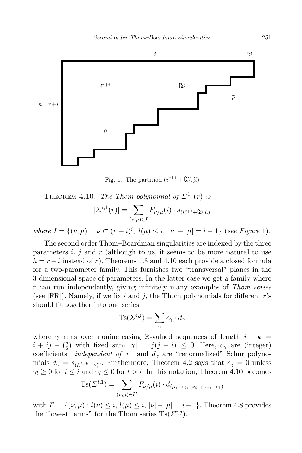

Fig. 1. The partition  $(i^{r+i} + \mathbf{C}\tilde{\nu}, \tilde{\mu})$ 

THEOREM 4.10. The Thom polynomial of  $\Sigma^{i,1}(r)$  is

$$
[\varSigma^{i,1}(r)]=\sum_{(\nu,\mu)\in I}F_{\nu/\mu}(i)\cdot s_{(i^{r+i}+\mathbf{G}\widetilde{\nu},\widetilde{\mu})}
$$

where  $I = \{(\nu, \mu) : \nu \subset (r + i)^i, l(\mu) \leq i, |\nu| - |\mu| = i - 1\}$  (see Figure 1).

The second order Thom–Boardman singularities are indexed by the three parameters  $i, j$  and r (although to us, it seems to be more natural to use  $h = r + i$  instead of r). Theorems 4.8 and 4.10 each provide a closed formula for a two-parameter family. This furnishes two "transversal" planes in the 3-dimensional space of parameters. In the latter case we get a family where r can run independently, giving infinitely many examples of Thom series (see [FR]). Namely, if we fix i and j, the Thom polynomials for different  $r$ 's should fit together into one series

$$
\mathrm{Ts}(\varSigma^{i,j})=\sum_{\gamma}c_{\gamma}\cdot d_{\gamma}
$$

where  $\gamma$  runs over nonincreasing Z-valued sequences of length  $i + k =$  $i + ij - {i \choose 2}$ <sup>j</sup>) with fixed sum  $|\gamma| = j(j - i) \leq 0$ . Here,  $c_{\gamma}$  are (integer) coefficients—independent of r—and  $d_{\gamma}$  are "renormalized" Schur polynomials  $d_{\gamma} = s_{(h^{i+k}+\gamma)}$ . Furthermore, Theorem 4.2 says that  $c_{\gamma} = 0$  unless  $\gamma_l \geq 0$  for  $l \leq i$  and  $\gamma_l \leq 0$  for  $l > i$ . In this notation, Theorem 4.10 becomes

$$
Ts(\Sigma^{i,1}) = \sum_{(\nu,\mu)\in I'} F_{\nu/\mu}(i) \cdot d_{(\mu,-\nu_i,-\nu_{i-1},...,-\nu_1)}
$$

with  $I' = \{(\nu, \mu) : l(\nu) \leq i, l(\mu) \leq i, |\nu| - |\mu| = i - 1\}$ . Theorem 4.8 provides the "lowest terms" for the Thom series  $\text{Ts}(\Sigma^{i,j})$ .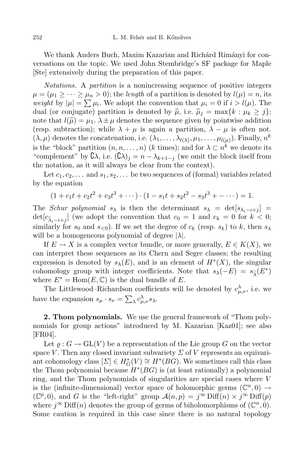We thank Anders Buch, Maxim Kazarian and Richárd Rimányi for conversations on the topic. We used John Stembridge's SF package for Maple [Ste] extensively during the preparation of this paper.

Notations. A partition is a nonincreasing sequence of positive integers  $\mu = (\mu_1 \geq \cdots \geq \mu_n > 0)$ ; the length of a partition is denoted by  $l(\mu) = n$ , its weight by  $|\mu| = \sum \mu_i$ . We adopt the convention that  $\mu_i = 0$  if  $i > l(\mu)$ . The dual (or conjugate) partition is denoted by  $\tilde{\mu}$ , i.e.  $\tilde{\mu}_j = \max\{k : \mu_k \geq j\};$ note that  $l(\tilde{\mu}) = \mu_1$ .  $\lambda \pm \mu$  denotes the sequence given by pointwise addition (resp. subtraction); while  $\lambda + \mu$  is again a partition,  $\lambda - \mu$  is often not.  $(\lambda, \mu)$  denotes the concatenation, i.e.  $(\lambda_1, \ldots, \lambda_{l(\lambda)}, \mu_1, \ldots, \mu_{l(\mu)})$ . Finally,  $n^k$ is the "block" partition  $(n, n, \ldots, n)$  (k times); and for  $\lambda \subset n^k$  we denote its "complement" by  $\mathcal{C}\lambda$ , i.e.  $(\mathcal{C}\lambda)_j = n - \lambda_{k+1-j}$  (we omit the block itself from the notation, as it will always be clear from the context).

Let  $c_1, c_2, \ldots$  and  $s_1, s_2, \ldots$  be two sequences of (formal) variables related by the equation

$$
(1 + c_1t + c_2t^2 + c_3t^3 + \cdots) \cdot (1 - s_1t + s_2t^2 - s_3t^3 + \cdots) = 1.
$$

The Schur polynomial  $s_{\lambda}$  is then the determinant  $s_{\lambda} = det[s_{\lambda_i-i+j}]$  $\det[c_{\tilde{\lambda}_i-i+j}]$  (we adopt the convention that  $c_0 = 1$  and  $c_k = 0$  for  $k < 0$ ; similarly for  $s_0$  and  $s_{0}$ . If we set the degree of  $c_k$  (resp.  $s_k$ ) to k, then  $s_{\lambda}$ will be a homogeneous polynomial of degree  $|\lambda|$ .

If  $E \to X$  is a complex vector bundle, or more generally,  $E \in K(X)$ , we can interpret these sequences as its Chern and Segre classes; the resulting expression is denoted by  $s_{\lambda}(E)$ , and is an element of  $H^*(X)$ , the singular cohomology group with integer coefficients. Note that  $s_{\lambda}(-E) = s_{\widetilde{\lambda}}(E^*)$ where  $E^* = \text{Hom}(E, \mathbb{C})$  is the dual bundle of E.

The Littlewood–Richardson coefficients will be denoted by  $c^{\lambda}_{\mu,\nu}$ , i.e. we have the expansion  $s_{\mu} \cdot s_{\nu} = \sum_{\lambda} c_{\mu, \nu}^{\lambda} s_{\lambda}$ .

2. Thom polynomials. We use the general framework of "Thom polynomials for group actions" introduced by M. Kazarian [Kaz01]; see also [FR04].

Let  $\rho: G \to GL(V)$  be a representation of the Lie group G on the vector space V. Then any closed invariant subvariety  $\Sigma$  of V represents an equivariant cohomology class  $[\Sigma] \in H^*_G(V) \cong H^*(BG)$ . We sometimes call this class the Thom polynomial because  $H^*(BG)$  is (at least rationally) a polynomial ring, and the Thom polynomials of singularities are special cases where V is the (infinite-dimensional) vector space of holomorphic germs  $(\mathbb{C}^n,0) \rightarrow$  $(\mathbb{C}^p,0)$ , and G is the "left-right" group  $\mathcal{A}(n,p) = j^{\infty} \text{Diff}(n) \times j^{\infty} \text{Diff}(p)$ where  $j^{\infty}$  Diff(n) denotes the group of germs of biholomorphisms of  $(\mathbb{C}^n, 0)$ . Some caution is required in this case since there is no natural topology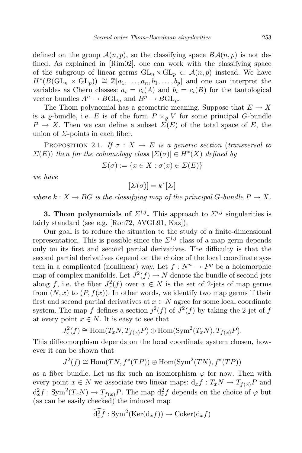defined on the group  $\mathcal{A}(n, p)$ , so the classifying space  $B\mathcal{A}(n, p)$  is not defined. As explained in [Rim02], one can work with the classifying space of the subgroup of linear germs  $GL_n \times GL_n \subset \mathcal{A}(n,p)$  instead. We have  $H^*(B(\mathrm{GL}_n\times \mathrm{GL}_p))\cong \mathbb{Z}[a_1,\ldots,a_n,b_1,\ldots,b_p]$  and one can interpret the variables as Chern classes:  $a_i = c_i(A)$  and  $b_i = c_i(B)$  for the tautological vector bundles  $A^n \to BGL_n$  and  $B^p \to BGL_p$ .

The Thom polynomial has a geometric meaning. Suppose that  $E \to X$ is a  $\varrho$ -bundle, i.e. E is of the form  $P \times_{\varrho} V$  for some principal G-bundle  $P \to X$ . Then we can define a subset  $\Sigma(E)$  of the total space of E, the union of  $\Sigma$ -points in each fiber.

PROPOSITION 2.1. If  $\sigma : X \to E$  is a generic section (transversal to  $\Sigma(E)$ ) then for the cohomology class  $[\Sigma(\sigma)] \in H^*(X)$  defined by

$$
\Sigma(\sigma) := \{ x \in X : \sigma(x) \in \Sigma(E) \}
$$

we have

$$
[\varSigma(\sigma)]=k^*[\varSigma]
$$

where  $k: X \to BG$  is the classifying map of the principal G-bundle  $P \to X$ .

**3. Thom polynomials of**  $\Sigma^{i,j}$ . This approach to  $\Sigma^{i,j}$  singularities is fairly standard (see e.g. [Ron72, AVGL91, Kaz]).

Our goal is to reduce the situation to the study of a finite-dimensional representation. This is possible since the  $\Sigma^{i,j}$  class of a map germ depends only on its first and second partial derivatives. The difficulty is that the second partial derivatives depend on the choice of the local coordinate system in a complicated (nonlinear) way. Let  $f : N^n \to P^p$  be a holomorphic map of complex manifolds. Let  $J^2(f) \to N$  denote the bundle of second jets along f, i.e. the fiber  $J_x^2(f)$  over  $x \in N$  is the set of 2-jets of map germs from  $(N, x)$  to  $(P, f(x))$ . In other words, we identify two map germs if their first and second partial derivatives at  $x \in N$  agree for some local coordinate system. The map f defines a section  $j^2(f)$  of  $J^2(f)$  by taking the 2-jet of f at every point  $x \in N$ . It is easy to see that

$$
J_x^2(f) \cong \text{Hom}(T_xN, T_{f(x)}P) \oplus \text{Hom}(\text{Sym}^2(T_xN), T_{f(x)}P).
$$

This diffeomorphism depends on the local coordinate system chosen, however it can be shown that

$$
J^2(f) \cong \text{Hom}(TN, f^*(TP)) \oplus \text{Hom}(\text{Sym}^2(TN), f^*(TP))
$$

as a fiber bundle. Let us fix such an isomorphism  $\varphi$  for now. Then with every point  $x \in N$  we associate two linear maps:  $d_x f : T_x N \to T_{f(x)} P$  and  $d_x^2 f : Sym^2(T_x N) \to T_{f(x)}P$ . The map  $d_x^2 f$  depends on the choice of  $\varphi$  but (as can be easily checked) the induced map

$$
\widehat{\mathrm{d}^2_x f}: \mathrm{Sym}^2(\mathrm{Ker}(\mathrm{d}_x f)) \to \mathrm{Coker}(\mathrm{d}_x f)
$$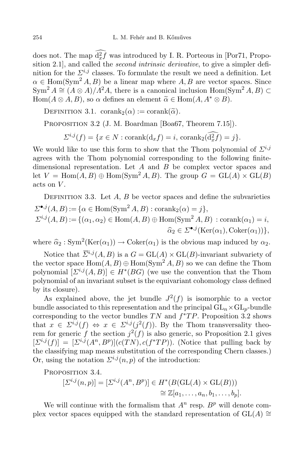does not. The map  $d_x^2 f$  was introduced by I. R. Porteous in [Por71, Proposition 2.1, and called the *second intrinsic derivative*, to give a simpler definition for the  $\Sigma^{i,j}$  classes. To formulate the result we need a definition. Let  $\alpha \in \text{Hom}(\text{Sym}^2 A, B)$  be a linear map where A, B are vector spaces. Since  $Sym^2 A \cong (A \otimes A)/A^2A$ , there is a canonical inclusion Hom(Sym<sup>2</sup> A, B) ⊂  $Hom(A \otimes A, B)$ , so  $\alpha$  defines an element  $\widetilde{\alpha} \in Hom(A, A^* \otimes B)$ .

DEFINITION 3.1.  $\text{corank}_2(\alpha) := \text{corank}(\widetilde{\alpha})$ .

PROPOSITION 3.2 (J. M. Boardman [Boa67, Theorem 7.15]).

 $\Sigma^{i,j}(f) = \{x \in N : \text{corank}(\mathrm{d}_x f) = i, \, \text{corank}_2(\bar{\mathrm{d}}_x^2 f) = j\}.$ 

We would like to use this form to show that the Thom polynomial of  $\Sigma^{i,j}$ agrees with the Thom polynomial corresponding to the following finitedimensional representation. Let  $A$  and  $B$  be complex vector spaces and let  $V = \text{Hom}(A, B) \oplus \text{Hom}(\text{Sym}^2 A, B)$ . The group  $G = \text{GL}(A) \times \text{GL}(B)$ acts on V.

DEFINITION 3.3. Let  $A, B$  be vector spaces and define the subvarieties  $\mathcal{Z}^{\bullet,j}(A,B) := {\alpha \in \text{Hom}(\text{Sym}^2 A, B) : \text{corank}_2(\alpha) = j},$  $\sum^{i,j}(A, B) := \{(\alpha_1, \alpha_2) \in \text{Hom}(A, B) \oplus \text{Hom}(\text{Sym}^2 A, B) : \text{corank}(\alpha_1) = i,$  $\widehat{\alpha}_2 \in \Sigma^{\bullet,j}(\text{Ker}(\alpha_1), \text{Coker}(\alpha_1))\},\$ 

where  $\hat{\alpha}_2$ : Sym<sup>2</sup>(Ker( $\alpha_1$ ))  $\rightarrow$  Coker( $\alpha_1$ ) is the obvious map induced by  $\alpha_2$ .

Notice that  $\overline{\Sigma}^{i,j}(A, B)$  is a  $G = GL(A) \times GL(B)$ -invariant subvariety of the vector space  $\text{Hom}(A, B) \oplus \text{Hom}(\text{Sym}^2 A, B)$  so we can define the Thom polynomial  $[\Sigma^{i,j}(A, B)] \in H^*(BG)$  (we use the convention that the Thom polynomial of an invariant subset is the equivariant cohomology class defined by its closure).

As explained above, the jet bundle  $J^2(f)$  is isomorphic to a vector bundle associated to this representation and the principal  $GL_n\times GL_n$ -bundle corresponding to the vector bundles  $TN$  and  $f^*TP$ . Proposition 3.2 shows that  $x \in \Sigma^{i,j}(f) \Leftrightarrow x \in \Sigma^{i,j}(j^2(f))$ . By the Thom transversality theorem for generic f the section  $j^2(f)$  is also generic, so Proposition 2.1 gives  $[\Sigma^{i,j}(f)]=[\Sigma^{i,j}(A^n,B^p)](c(TN),c(f^*TP)).$  (Notice that pulling back by the classifying map means substitution of the corresponding Chern classes.) Or, using the notation  $\mathcal{Z}^{i,j}(n,p)$  of the introduction:

PROPOSITION 3.4.

$$
[\Sigma^{i,j}(n,p)] = [\Sigma^{i,j}(A^n, B^p)] \in H^*(B(\text{GL}(A) \times \text{GL}(B)))
$$
  

$$
\cong \mathbb{Z}[a_1, \dots, a_n, b_1, \dots, b_p].
$$

We will continue with the formalism that  $A<sup>n</sup>$  resp.  $B<sup>p</sup>$  will denote complex vector spaces equipped with the standard representation of  $GL(A) \cong$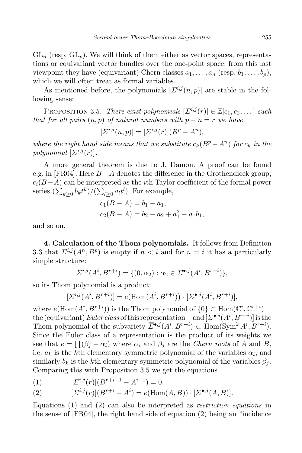$GL_n$  (resp.  $GL_n$ ). We will think of them either as vector spaces, representations or equivariant vector bundles over the one-point space; from this last viewpoint they have (equivariant) Chern classes  $a_1, \ldots, a_n$  (resp.  $b_1, \ldots, b_n$ ), which we will often treat as formal variables.

As mentioned before, the polynomials  $[\Sigma^{i,j}(n, p)]$  are stable in the following sense:

PROPOSITION 3.5. There exist polynomials  $[\Sigma^{i,j}(r)] \in \mathbb{Z}[c_1, c_2, \dots]$  such that for all pairs  $(n, p)$  of natural numbers with  $p - n = r$  we have

$$
[\Sigma^{i,j}(n,p)] = [\Sigma^{i,j}(r)](B^p - A^n),
$$

where the right hand side means that we substitute  $c_k(B^p - A^n)$  for  $c_k$  in the polynomial  $[\Sigma^{i,j}(r)]$ .

A more general theorem is due to J. Damon. A proof can be found e.g. in [FR04]. Here  $B - A$  denotes the difference in the Grothendieck group;  $c_i(B-A)$  can be interpreted as the *i*th Taylor coefficient of the formal power series  $(\sum_{k\geq 0} b_k t^k)/(\sum_{l\geq 0} a_l t^l)$ . For example,

$$
c_1(B - A) = b_1 - a_1,
$$
  

$$
c_2(B - A) = b_2 - a_2 + a_1^2 - a_1b_1,
$$

and so on.

4. Calculation of the Thom polynomials. It follows from Definition 3.3 that  $\Sigma^{i,j}(A^n, B^p)$  is empty if  $n < i$  and for  $n = i$  it has a particularly simple structure:

$$
\Sigma^{i,j}(A^i, B^{r+i}) = \{ (0, \alpha_2) : \alpha_2 \in \Sigma^{\bullet,j}(A^i, B^{r+i}) \},\
$$

so its Thom polynomial is a product:

$$
[\Sigma^{i,j}(A^i, B^{r+i})] = e(\text{Hom}(A^i, B^{r+i})) \cdot [\Sigma^{\bullet,j}(A^i, B^{r+i})],
$$

where  $e(\text{Hom}(A^i, B^{r+i}))$  is the Thom polynomial of  $\{0\} \subset \text{Hom}(\mathbb{C}^i, \mathbb{C}^{r+i})$  the (equivariant)  $Euler \, class$  of this representation—and  $[\Sigma^{\bullet,j}(A^i,B^{r+i})]$  is the Thom polynomial of the subvariety  $\overline{\Sigma}^{\bullet,j}(A^i, B^{r+i}) \subset \text{Hom}(\text{Sym}^2 A^i, B^{r+i}).$ Since the Euler class of a representation is the product of its weights we see that  $e = \prod(\beta_j - \alpha_i)$  where  $\alpha_i$  and  $\beta_j$  are the *Chern roots* of A and B, i.e.  $a_k$  is the k<sup>th</sup> elementary symmetric polynomial of the variables  $\alpha_i$ , and similarly  $b_k$  is the kth elementary symmetric polynomial of the variables  $\beta_i$ . Comparing this with Proposition 3.5 we get the equations

(1)  $[\Sigma^{i,j}(r)](B^{r+i-1} - A^{i-1}) = 0,$ 

(2) 
$$
[\Sigma^{i,j}(r)](B^{r+i} - A^i) = e(\text{Hom}(A, B)) \cdot [\Sigma^{\bullet,j}(A, B)].
$$

Equations (1) and (2) can also be interpreted as restriction equations in the sense of [FR04], the right hand side of equation (2) being an "incidence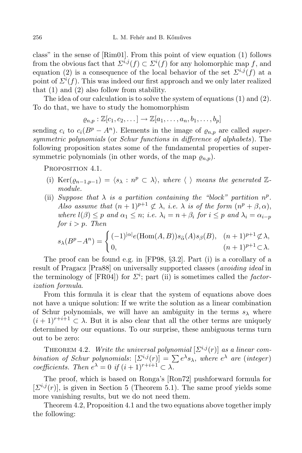class" in the sense of [Rim01]. From this point of view equation (1) follows from the obvious fact that  $\sum^{i,j}(f) \subset \sum^{i}(f)$  for any holomorphic map f, and equation (2) is a consequence of the local behavior of the set  $\Sigma^{i,j}(f)$  at a point of  $\Sigma^{i}(f)$ . This was indeed our first approach and we only later realized that (1) and (2) also follow from stability.

The idea of our calculation is to solve the system of equations (1) and (2). To do that, we have to study the homomorphism

 $\rho_{n,n} : \mathbb{Z}[c_1, c_2, \ldots] \to \mathbb{Z}[a_1, \ldots, a_n, b_1, \ldots, b_n]$ 

sending  $c_i$  to  $c_i(B^p - A^n)$ . Elements in the image of  $\varrho_{n,p}$  are called supersymmetric polynomials (or Schur functions in difference of alphabets). The following proposition states some of the fundamental properties of supersymmetric polynomials (in other words, of the map  $\varrho_{n,p}$ ).

PROPOSITION 4.1.

- (i) Ker $(\varrho_{n-1,p-1}) = \langle s_{\lambda} : n^p \subset \lambda \rangle$ , where  $\langle \rangle$  means the generated  $\mathbb{Z}$ module.
- (ii) Suppose that  $\lambda$  is a partition containing the "block" partition  $n^p$ . Also assume that  $(n+1)^{p+1} \not\subset \lambda$ , i.e.  $\lambda$  is of the form  $(n^p + \beta, \alpha)$ , where  $l(\beta) \leq p$  and  $\alpha_1 \leq n$ ; i.e.  $\lambda_i = n + \beta_i$  for  $i \leq p$  and  $\lambda_i = \alpha_{i-p}$ for  $i > p$ . Then

$$
s_{\lambda}(B^p - A^n) = \begin{cases} (-1)^{|\alpha|} e(\text{Hom}(A, B)) s_{\widetilde{\alpha}}(A) s_{\beta}(B), & (n+1)^{p+1} \not\subset \lambda, \\ 0, & (n+1)^{p+1} \subset \lambda. \end{cases}
$$

The proof can be found e.g. in [FP98, §3.2]. Part (i) is a corollary of a result of Pragacz [Pra88] on universally supported classes (avoiding ideal in the terminology of [FR04]) for  $\Sigma^i$ ; part (ii) is sometimes called the *factor*ization formula.

From this formula it is clear that the system of equations above does not have a unique solution: If we write the solution as a linear combination of Schur polynomials, we will have an ambiguity in the terms  $s_{\lambda}$  where  $(i+1)^{r+i+1} \subset \lambda$ . But it is also clear that all the other terms are uniquely determined by our equations. To our surprise, these ambiguous terms turn out to be zero:

THEOREM 4.2. Write the universal polynomial  $[\Sigma^{i,j}(r)]$  as a linear combination of Schur polynomials:  $[\Sigma^{i,j}(r)] = \sum e^{\lambda} s_{\lambda}$ , where  $e^{\lambda}$  are (integer) coefficients. Then  $e^{\lambda} = 0$  if  $(i + 1)^{r+i+1} \subset \lambda$ .

The proof, which is based on Ronga's [Ron72] pushforward formula for  $[\Sigma^{i,j}(r)]$ , is given in Section 5 (Theorem 5.1). The same proof yields some more vanishing results, but we do not need them.

Theorem 4.2, Proposition 4.1 and the two equations above together imply the following: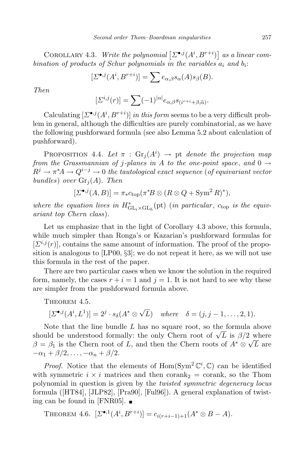COROLLARY 4.3. Write the polynomial  $[\Sigma^{\bullet,j}(A^i, B^{r+i})]$  as a linear combination of products of Schur polynomials in the variables  $a_i$  and  $b_i$ :

$$
[\Sigma^{\bullet,j}(A^i, B^{r+i})] = \sum e_{\alpha,\beta} s_{\alpha}(A) s_{\beta}(B).
$$

Then

$$
[\varSigma^{i,j}(r)]=\sum (-1)^{|\alpha|}e_{\alpha,\beta}s_{(i^{r+i}+\beta,\widetilde{\alpha})}.
$$

Calculating  $[\Sigma^{\bullet,j}(A^i, B^{r+i})]$  in this form seems to be a very difficult problem in general, although the difficulties are purely combinatorial, as we have the following pushforward formula (see also Lemma 5.2 about calculation of pushforward).

**PROPOSITION** 4.4. Let  $\pi$  :  $\text{Gr}_j(A^i) \rightarrow \text{pt}$  denote the projection map from the Grassmannian of j-planes in A to the one-point space, and  $0 \rightarrow$  $R^j \to \pi^* A \to Q^{i-j} \to 0$  the tautological exact sequence (of equivariant vector bundles) over  $\operatorname{Gr}_i(A)$ . Then

$$
[\Sigma^{\bullet,j}(A,B)] = \pi_* c_{\text{top}}(\pi^*B \otimes (R \otimes Q + \text{Sym}^2 R)^*),
$$

where the equation lives in  $H_{\mathrm{GL}_i \times \mathrm{GL}_h}^*(\mathrm{pt})$  (in particular,  $c_{\mathrm{top}}$  is the equivariant top Chern class).

Let us emphasize that in the light of Corollary 4.3 above, this formula, while much simpler than Ronga's or Kazarian's pushforward formulas for  $[\Sigma^{i,j}(r)]$ , contains the same amount of information. The proof of the proposition is analogous to [LP00, §3]; we do not repeat it here, as we will not use this formula in the rest of the paper.

There are two particular cases when we know the solution in the required form, namely, the cases  $r + i = 1$  and  $j = 1$ . It is not hard to see why these are simpler from the pushforward formula above.

THEOREM 4.5.

 $[\Sigma^{\bullet,j}(A^i,L^1)] = 2^j \cdot s_\delta(A^* \otimes \sqrt{L})$  where  $\delta = (j, j-1, \ldots, 2, 1).$ 

Note that the line bundle  $L$  has no square root, so the formula above should be understood formally: the only Chern root of  $\sqrt{L}$  is  $\beta/2$  where  $\beta = \beta_1$  is the Chern root of L, and then the Chern roots of  $A^* \otimes \sqrt{L}$  are  $-\alpha_1 + \beta/2, \ldots, -\alpha_n + \beta/2.$ 

*Proof.* Notice that the elements of  $Hom(Sym^2 \mathbb{C}^i, \mathbb{C})$  can be identified with symmetric  $i \times i$  matrices and then corank<sub>2</sub> = corank, so the Thom polynomial in question is given by the twisted symmetric degeneracy locus formula ([HT84], [JLP82], [Pra90], [Ful96]). A general explanation of twisting can be found in [FNR05].

THEOREM 4.6. 
$$
[\Sigma^{\bullet,1}(A^i, B^{r+i})] = c_{i(r+i-1)+1}(A^* \otimes B - A).
$$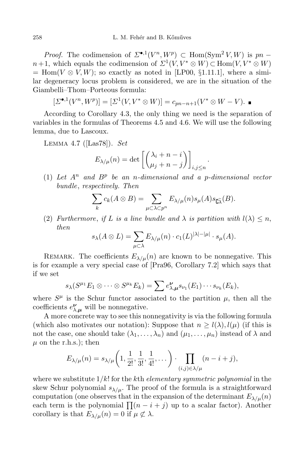*Proof.* The codimension of  $\Sigma^{\bullet,1}(V^n,W^p) \subset \text{Hom}(\text{Sym}^2 V, W)$  is  $pn$  $n+1$ , which equals the codimension of  $\Sigma^1(V, V^* \otimes W) \subset \text{Hom}(V, V^* \otimes W)$  $=$  Hom( $V \otimes V, W$ ); so exactly as noted in [LP00, §1.11.1], where a similar degeneracy locus problem is considered, we are in the situation of the Giambelli–Thom–Porteous formula:

$$
[\Sigma^{\bullet,1}(V^n, W^p)] = [\Sigma^1(V, V^* \otimes W)] = c_{pn-n+1}(V^* \otimes W - V).
$$

According to Corollary 4.3, the only thing we need is the separation of variables in the formulas of Theorems 4.5 and 4.6. We will use the following lemma, due to Lascoux.

Lemma 4.7 ([Las78]). Set

$$
E_{\lambda/\mu}(n) = \det \left[ \binom{\lambda_i + n - i}{\mu_j + n - j} \right]_{i,j \le n}
$$

(1) Let  $A^n$  and  $B^p$  be an n-dimensional and a p-dimensional vector bundle, respectively. Then

$$
\sum_{k} c_{k}(A \otimes B) = \sum_{\mu \subset \lambda \subset p^{n}} E_{\lambda/\mu}(n) s_{\mu}(A) s_{\mathbb{G}\tilde{\lambda}}(B).
$$

.

(2) Furthermore, if L is a line bundle and  $\lambda$  is partition with  $l(\lambda) \leq n$ , then

$$
s_{\lambda}(A \otimes L) = \sum_{\mu \subset \lambda} E_{\lambda/\mu}(n) \cdot c_1(L)^{|\lambda| - |\mu|} \cdot s_{\mu}(A).
$$

REMARK. The coefficients  $E_{\lambda/\mu}(n)$  are known to be nonnegative. This is for example a very special case of [Pra96, Corollary 7.2] which says that if we set

$$
s_{\lambda}(S^{\mu_1}E_1\otimes\cdots\otimes S^{\mu_k}E_k)=\sum e_{\lambda,\mu}^{\nu}s_{\nu_1}(E_1)\cdots s_{\nu_k}(E_k),
$$

where  $S^{\mu}$  is the Schur functor associated to the partition  $\mu$ , then all the coefficients  $e^{\nu}_{\lambda,\mu}$  will be nonnegative.

A more concrete way to see this nonnegativity is via the following formula (which also motivates our notation): Suppose that  $n \geq l(\lambda), l(\mu)$  (if this is not the case, one should take  $(\lambda_1, \ldots, \lambda_n)$  and  $(\mu_1, \ldots, \mu_n)$  instead of  $\lambda$  and  $\mu$  on the r.h.s.); then

$$
E_{\lambda/\mu}(n) = s_{\lambda/\mu}\left(1, \frac{1}{2!}, \frac{1}{3!}, \frac{1}{4!}, \dots\right) \cdot \prod_{(i,j)\in\lambda/\mu} (n-i+j),
$$

where we substitute  $1/k!$  for the kth *elementary symmetric polynomial* in the skew Schur polynomial  $s_{\lambda/\mu}$ . The proof of the formula is a straightforward computation (one observes that in the expansion of the determinant  $E_{\lambda/\mu}(n)$ each term is the polynomial  $\prod (n - i + j)$  up to a scalar factor). Another corollary is that  $E_{\lambda/\mu}(n) = 0$  if  $\mu \not\subset \lambda$ .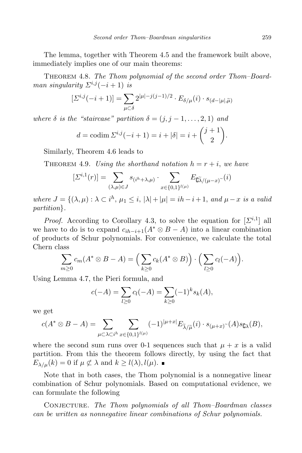The lemma, together with Theorem 4.5 and the framework built above, immediately implies one of our main theorems:

Theorem 4.8. The Thom polynomial of the second order Thom–Boardman singularity  $\Sigma^{i,j}(-i+1)$  is

$$
[\varSigma^{i,j}(-i+1)] = \sum_{\mu \subset \delta} 2^{|\mu|-j(j-1)/2} \cdot E_{\delta/\mu}(i) \cdot s_{(d-|\mu|,\widetilde{\mu})}
$$

where  $\delta$  is the "staircase" partition  $\delta = (j, j - 1, \ldots, 2, 1)$  and

$$
d = \text{codim } \Sigma^{i,j}(-i+1) = i + |\delta| = i + {j+1 \choose 2}.
$$

Similarly, Theorem 4.6 leads to

THEOREM 4.9. Using the shorthand notation  $h = r + i$ , we have

$$
[\Sigma^{i,1}(r)] = \sum_{(\lambda,\mu)\in J} s_{(i^h+\lambda,\mu)} \cdot \sum_{x\in\{0,1\}^{l(\mu)}} E_{\widetilde{\mathsf{U}\lambda}/(\mu-x)}(i)
$$

where  $J = \{(\lambda, \mu) : \lambda \subset i^h, \mu_1 \leq i, |\lambda| + |\mu| = ih - i + 1, \text{ and } \mu - x \text{ is a valid}\}$ partition}.

*Proof.* According to Corollary 4.3, to solve the equation for  $[\Sigma^{i,1}]$  all we have to do is to expand  $c_{ih-i+1}(A^* \otimes B - A)$  into a linear combination of products of Schur polynomials. For convenience, we calculate the total Chern class

$$
\sum_{m\geq 0} c_m(A^*\otimes B-A)=\Big(\sum_{k\geq 0} c_k(A^*\otimes B)\Big)\cdot \Big(\sum_{l\geq 0} c_l(-A)\Big).
$$

Using Lemma 4.7, the Pieri formula, and

$$
c(-A) = \sum_{l \ge 0} c_l(-A) = \sum_{k \ge 0} (-1)^k s_k(A),
$$

we get

$$
c(A^* \otimes B - A) = \sum_{\mu \subset \lambda \subset i^h} \sum_{x \in \{0,1\}^{l(\mu)}} (-1)^{|\mu + x|} E_{\widetilde{\lambda}/\widetilde{\mu}}(i) \cdot s_{(\mu+x)}(A) s_{\mathbf{C}\lambda}(B),
$$

where the second sum runs over 0-1 sequences such that  $\mu + x$  is a valid partition. From this the theorem follows directly, by using the fact that  $E_{\lambda/\mu}(k) = 0$  if  $\mu \not\subset \lambda$  and  $k \geq l(\lambda), l(\mu)$ .

Note that in both cases, the Thom polynomial is a nonnegative linear combination of Schur polynomials. Based on computational evidence, we can formulate the following

CONJECTURE. The Thom polynomials of all Thom–Boardman classes can be written as nonnegative linear combinations of Schur polynomials.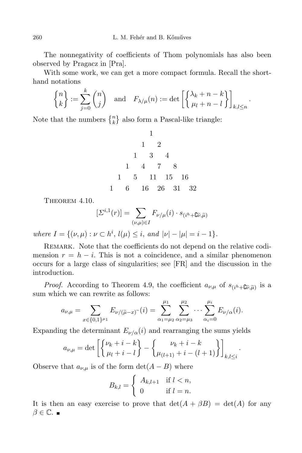The nonnegativity of coefficients of Thom polynomials has also been observed by Pragacz in [Pra].

With some work, we can get a more compact formula. Recall the shorthand notations

$$
\begin{Bmatrix} n \\ k \end{Bmatrix} := \sum_{j=0}^{k} \binom{n}{j} \quad \text{and} \quad F_{\lambda/\mu}(n) := \det \left[ \begin{Bmatrix} \lambda_k + n - k \\ \mu_l + n - l \end{Bmatrix} \right]_{k,l \le n}.
$$

Note that the numbers  $\{n\brace k}$  also form a Pascal-like triangle:

1 1 2 1 3 4 1 4 7 8 1 5 11 15 16 1 6 16 26 31 32

Theorem 4.10.

$$
[\varSigma^{i,1}(r)]=\sum_{(\nu,\mu)\in I}F_{\nu/\mu}(i)\cdot s_{(i^h+\mathbf{G}\widetilde{\nu},\widetilde{\mu})}
$$

where  $I = \{(\nu, \mu) : \nu \subset h^i, l(\mu) \leq i, \text{ and } |\nu| - |\mu| = i - 1\}.$ 

REMARK. Note that the coefficients do not depend on the relative codimension  $r = h - i$ . This is not a coincidence, and a similar phenomenon occurs for a large class of singularities; see [FR] and the discussion in the introduction.

*Proof.* According to Theorem 4.9, the coefficient  $a_{\nu,\mu}$  of  $s_{(i^h+\mathbb{G}\tilde{\nu},\tilde{\mu})}$  is a sum which we can rewrite as follows:

$$
a_{\nu,\mu} = \sum_{x \in \{0,1\}^{\mu_1}} E_{\nu/(\tilde{\mu} - x)}(i) = \sum_{\alpha_1 = \mu_2}^{\mu_1} \sum_{\alpha_2 = \mu_3}^{\mu_2} \cdots \sum_{\alpha_i = 0}^{\mu_i} E_{\nu/\alpha}(i).
$$

Expanding the determinant  $E_{\nu/\alpha}(i)$  and rearranging the sums yields

$$
a_{\nu,\mu} = \det \left[ \begin{Bmatrix} \nu_k + i - k \\ \mu_l + i - l \end{Bmatrix} - \begin{Bmatrix} \nu_k + i - k \\ \mu_{(l+1)} + i - (l+1) \end{Bmatrix} \right]_{k,l \leq i}.
$$

Observe that  $a_{\nu,\mu}$  is of the form  $\det(A - B)$  where

$$
B_{k,l} = \begin{cases} A_{k,l+1} & \text{if } l < n, \\ 0 & \text{if } l = n. \end{cases}
$$

It is then an easy exercise to prove that  $\det(A + \beta B) = \det(A)$  for any  $\beta \in \mathbb{C}$ .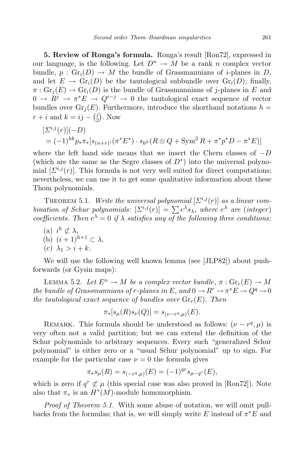5. Review of Ronga's formula. Ronga's result [Ron72], expressed in our language, is the following. Let  $D^n \to M$  be a rank n complex vector bundle,  $p : Gr_i(D) \to M$  the bundle of Grassmannians of *i*-planes in D, and let  $E \to \text{Gr}_i(D)$  be the tautological subbundle over  $\text{Gr}_i(D)$ ; finally,  $\pi: \operatorname{Gr}_i(E) \to \operatorname{Gr}_i(D)$  is the bundle of Grassmannians of *j*-planes in E and  $0 \to R^j \to \pi^* E \to Q^{i-j} \to 0$  the tautological exact sequence of vector bundles over  $\text{Gr}_i(E)$ . Furthermore, introduce the shorthand notations  $h =$  $r + i$  and  $k = ij - \binom{j}{2}$  $i(2)$ . Now

$$
\begin{aligned} [\Sigma^{i,j}(r)](-D) \\ &= (-1)^{hk} p_* \pi_*[s_{(n+r)i}(\pi^* E^*) \cdot s_{h^k}(R \otimes Q + \text{Sym}^2 R + \pi^* p^* D - \pi^* E)] \end{aligned}
$$

where the left hand side means that we insert the Chern classes of  $-D$ (which are the same as the Segre classes of  $D^*$ ) into the universal polynomial  $[\Sigma^{i,j}(r)]$ . This formula is not very well suited for direct computations; nevertheless, we can use it to get some qualitative information about these Thom polynomials.

THEOREM 5.1. Write the universal polynomial  $[\Sigma^{i,j}(r)]$  as a linear combination of Schur polynomials:  $[\Sigma^{i,j}(r)] = \sum e^{\lambda} s_{\lambda}$ , where  $e^{\lambda}$  are (integer) coefficients. Then  $e^{\lambda} = 0$  if  $\lambda$  satisfies any of the following three conditions:

- (a)  $i^h \not\subset \lambda$ ,
- (b)  $(i+1)^{h+1} \subset \lambda$ ,
- (c)  $\lambda_1 > i + k$ .

We will use the following well known lemma (see [JLP82]) about pushforwards (or Gysin maps):

LEMMA 5.2. Let  $E^n \to M$  be a complex vector bundle,  $\pi : \text{Gr}_r(E) \to M$ the bundle of Grassmannians of r-planes in E, and  $0 \to R^r \to \pi^*E \to Q^q \to 0$ the tautological exact sequence of bundles over  $\text{Gr}_r(E)$ . Then

$$
\pi_*[s_\mu(R)s_\nu(Q)] = s_{(\nu - r^q, \mu)}(E).
$$

REMARK. This formula should be understood as follows:  $(\nu - r^q, \mu)$  is very often not a valid partition; but we can extend the definition of the Schur polynomials to arbitrary sequences. Every such "generalized Schur polynomial" is either zero or a "usual Schur polynomial" up to sign. For example for the particular case  $\nu = 0$  the formula gives

$$
\pi_* s_\mu(R) = s_{(-r^q,\mu)}(E) = (-1)^{qr} s_{\mu - q^r}(E),
$$

which is zero if  $q^r \not\subset \mu$  (this special case was also proved in [Ron72]). Note also that  $\pi_*$  is an  $H^*(M)$ -module homomorphism.

Proof of Theorem 5.1. With some abuse of notation, we will omit pullbacks from the formulas; that is, we will simply write E instead of  $\pi^*E$  and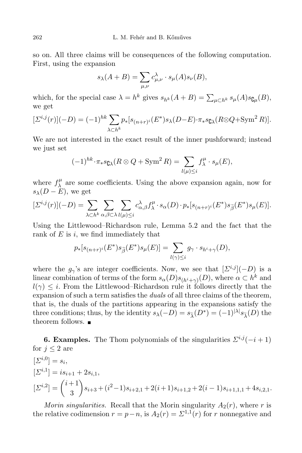so on. All three claims will be consequences of the following computation. First, using the expansion

$$
s_{\lambda}(A+B) = \sum_{\mu,\nu} c_{\mu,\nu}^{\lambda} \cdot s_{\mu}(A) s_{\nu}(B),
$$

which, for the special case  $\lambda = h^k$  gives  $s_{h^k}(A + B) = \sum_{\mu \subset h^k} s_{\mu}(A) s_{\mathbf{C}^{\mu}}(B)$ , we get

$$
[\Sigma^{i,j}(r)](-D) = (-1)^{hk} \sum_{\lambda \subset h^k} p_*[s_{(n+r)^i}(E^*)s_{\lambda}(D-E) \cdot \pi_*s_{\mathbb{C}\lambda}(R \otimes Q + \text{Sym}^2 R)].
$$

We are not interested in the exact result of the inner pushforward; instead we just set

$$
(-1)^{hk} \cdot \pi_* s_{\mathbf{C}\lambda}(R \otimes Q + \operatorname{Sym}^2 R) = \sum_{l(\mu) \leq i} f_{\lambda}^{\mu} \cdot s_{\mu}(E),
$$

where  $f^{\mu}_{\lambda}$  $\lambda$  are some coefficients. Using the above expansion again, now for  $s_\lambda(D - E)$ , we get

$$
[\Sigma^{i,j}(r)](-D) = \sum_{\lambda \subset h^k} \sum_{\alpha,\beta \subset \lambda} \sum_{l(\mu) \leq i} c_{\alpha,\beta}^{\lambda} f_{\lambda}^{\mu} \cdot s_{\alpha}(D) \cdot p_*[s_{(n+r)^i}(E^*) s_{\widetilde{\beta}}(E^*) s_{\mu}(E)].
$$

Using the Littlewood–Richardson rule, Lemma 5.2 and the fact that the rank of  $E$  is  $i$ , we find immediately that

$$
p_*[s_{(n+r)^i}(E^*)s_{\widetilde{\beta}}(E^*)s_{\mu}(E)] = \sum_{l(\gamma)\leq i} g_{\gamma} \cdot s_{h^i+\gamma}(D),
$$

where the  $g_{\gamma}$ 's are integer coefficients. Now, we see that  $[\Sigma^{i,j}](-D)$  is a linear combination of terms of the form  $s_{\alpha}(D)s_{(h^i+\gamma)}(D)$ , where  $\alpha \subset h^k$  and  $l(\gamma) \leq i$ . From the Littlewood–Richardson rule it follows directly that the expansion of such a term satisfies the *duals* of all three claims of the theorem, that is, the duals of the partitions appearing in the expansions satisfy the three conditions; thus, by the identity  $s_{\lambda}(-D) = s_{\tilde{\lambda}}(D^*) = (-1)^{|\lambda|} s_{\tilde{\lambda}}(D)$  the theorem follows. ■

**6. Examples.** The Thom polynomials of the singularities  $\sum^{i,j}(-i+1)$ for  $j \leq 2$  are  $[\Sigma^{i,0}] = s_i,$  $[\Sigma^{i,1}] = i s_{i+1} + 2 s_{i,1},$  $[\Sigma^{i,2}] = \binom{i+1}{2}$ 3  $\setminus$  $s_{i+3} + (i^2-1)s_{i+2,1} + 2(i+1)s_{i+1,2} + 2(i-1)s_{i+1,1,1} + 4s_{i,2,1}.$ 

*Morin singularities.* Recall that the Morin singularity  $A_2(r)$ , where r is the relative codimension  $r = p - n$ , is  $A_2(r) = \sum^{1,1}(r)$  for r nonnegative and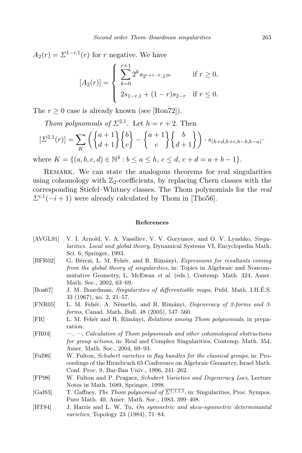$A_2(r) = \sum_{r} 1-r}(r)$  for r negative. We have

$$
[A_2(r)] = \begin{cases} \sum_{k=0}^{r+1} 2^k s_{2r+1-k,1^{2k}} & \text{if } r \ge 0, \\ 2s_{1-r,1} + (1-r)s_{2-r} & \text{if } r \le 0. \end{cases}
$$

The  $r \geq 0$  case is already known (see [Ron72]).

Thom polynomials of  $\Sigma^{2,1}$ . Let  $h = r + 2$ . Then

$$
\left[\Sigma^{2,1}(r)\right] = \sum_{K} \left( \begin{Bmatrix} a+1 \\ d+1 \end{Bmatrix} \begin{Bmatrix} b \\ c \end{Bmatrix} - \begin{Bmatrix} a+1 \\ c \end{Bmatrix} \begin{Bmatrix} b \\ d+1 \end{Bmatrix} \right) \cdot s_{(h+d,h+c,h-b,h-a)}.
$$

where  $K = \{(a, b, c, d) \in \mathbb{N}^4 : b \le a \le h, c \le d, c + d = a + b - 1\}.$ 

REMARK. We can state the analogous theorems for real singularities using cohomology with  $\mathbb{Z}_2$ -coefficients, by replacing Chern classes with the corresponding Stiefel–Whitney classes. The Thom polynomials for the real  $\Sigma^{i,1}(-i+1)$  were already calculated by Thom in [Tho56].

## References

- [AVGL91] V. I. Arnold, V. A. Vassiliev, V. V. Goryunov, and O. V. Lyashko, Singularities. Local and global theory, Dynamical Systems VI, Encyclopedia Math. Sci. 6, Springer, 1993.
- [BFR02] G. Bérczi, L. M. Fehér, and R. Rimányi, Expressions for resultants coming from the global theory of singularities, in: Topics in Algebraic and Noncommutative Geometry, L. McEwan et al. (eds.), Contemp. Math. 324, Amer. Math. Soc., 2002, 63–69.
- [Boa67] J. M. Boardman, Singularities of differentiable maps, Publ. Math. I.H.É.S. 33 (1967), no. 2, 21–57.
- [FNR05] L. M. Fehér, A. Némethi, and R. Rimányi, *Degeneracy of 2-forms and 3*forms, Canad. Math. Bull. 48 (2005), 547–560.
- [FR] L. M. Fehér and R. Rimányi, *Relations among Thom polynomials*, in preparation.
- [FR04] —, —, Calculation of Thom polynomials and other cohomological obstructions for group actions, in: Real and Complex Singularities, Contemp. Math. 354, Amer. Math. Soc., 2004, 69–93.
- [Ful96] W. Fulton, Schubert varieties in flag bundles for the classical groups, in: Proceedings of the Hirzebruch 65 Conference on Algebraic Geometry, Israel Math. Conf. Proc. 9, Bar-Ilan Univ., 1996, 241–262.
- [FP98] W. Fulton and P. Pragacz, Schubert Varieties and Degeneracy Loci, Lecture Notes in Math. 1689, Springer, 1998.
- [Gaf83] T. Gaffney, The Thom polynomial of  $\overline{\Sigma^{1,1,1,1}}$ , in: Singularities, Proc. Sympos. Pure Math. 40, Amer. Math. Soc., 1983, 399–408.
- [HT84] J. Harris and L. W. Tu, On symmetric and skew-symmetric determinantal varieties, Topology 23 (1984), 71–84.